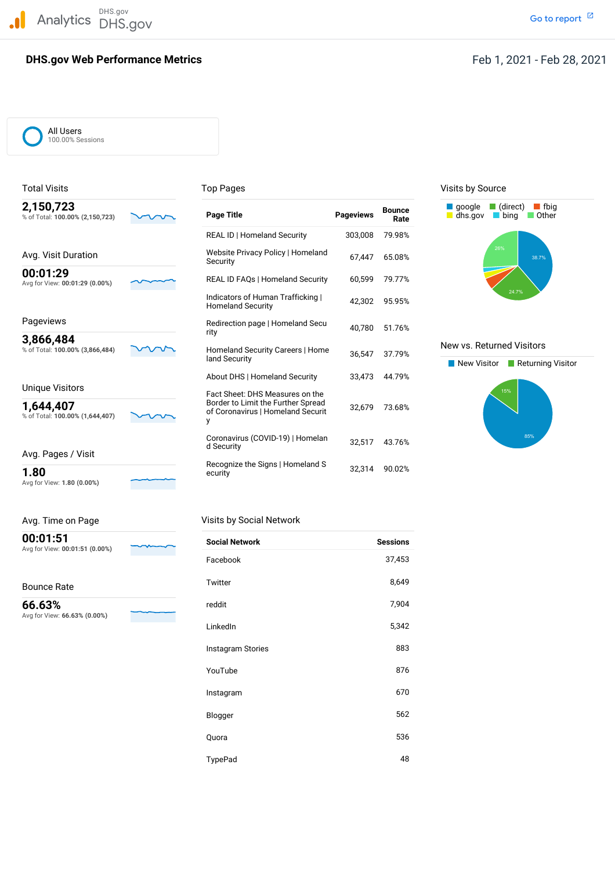DHS.gov Analytics DHS.gov and the contract of the contract of the contract of the contract of the contract of the contract of the contract of the contract of the contract of the contract of the contract of the contract of the cont

# **DHS.gov Web Performance Metrics**

Go to report<sup>[2]</sup>

## All Users 100.00% Sessions

| 2,130,723<br>% of Total: 100.00% (2,150,723) |  |
|----------------------------------------------|--|
| Avg. Visit Duration                          |  |
| 00:01:29<br>Avg for View: 00:01:29 (0.00%)   |  |

Avg for View: **1.80 (0.00%)**

| Avg. Time on Page                          |  |
|--------------------------------------------|--|
| 00:01:51<br>Avg for View: 00:01:51 (0.00%) |  |

Bounce Rate

 Avg for View: **66.63% (0.00%) 66.63%**

| 2,150,723<br>% of Total: 100.00% (2,150,723)                    | <b>Page Title</b>                                                                                          | <b>Pageviews</b> | <b>Bounce</b><br>Rate | (direct)<br><b>f</b> fbig<br>google<br>dhs.gov<br>Other<br><b>bina</b> |
|-----------------------------------------------------------------|------------------------------------------------------------------------------------------------------------|------------------|-----------------------|------------------------------------------------------------------------|
|                                                                 | <b>REAL ID   Homeland Security</b>                                                                         | 303,008          | 79.98%                |                                                                        |
| Avg. Visit Duration                                             | Website Privacy Policy   Homeland<br>Security                                                              | 67,447           | 65.08%                | 26%<br>38.7%                                                           |
| 00:01:29<br>Avg for View: 00:01:29 (0.00%)                      | <b>REAL ID FAQs   Homeland Security</b>                                                                    | 60,599           | 79.77%                |                                                                        |
|                                                                 | Indicators of Human Trafficking  <br><b>Homeland Security</b>                                              | 42,302           | 95.95%                | 24.7%                                                                  |
| Pageviews                                                       | Redirection page   Homeland Secu                                                                           | 40,780           | 51.76%                |                                                                        |
| 3,866,484<br>% of Total: 100.00% (3,866,484)                    | rity<br>Homeland Security Careers   Home                                                                   | 36,547           | 37.79%                | New vs. Returned Visitors                                              |
|                                                                 | land Security                                                                                              |                  |                       | New Visitor<br>Returning Visitor                                       |
|                                                                 | About DHS   Homeland Security                                                                              | 33,473           | 44.79%                |                                                                        |
| Unique Visitors<br>1,644,407<br>% of Total: 100.00% (1,644,407) | Fact Sheet: DHS Measures on the<br>Border to Limit the Further Spread<br>of Coronavirus   Homeland Securit | 32,679           | 73.68%                | 15%                                                                    |
| Avg. Pages / Visit                                              | Coronavirus (COVID-19)   Homelan<br>d Security                                                             | 32,517           | 43.76%                | 85%                                                                    |
| 1.80                                                            | Recognize the Signs   Homeland S<br>ecurity                                                                | 32,314           | 90.02%                |                                                                        |

| Visits by Social Network |                 |
|--------------------------|-----------------|
| <b>Social Network</b>    | <b>Sessions</b> |
| Facebook                 | 37,453          |
| Twitter                  | 8,649           |
| reddit                   | 7,904           |
| LinkedIn                 | 5,342           |
| Instagram Stories        | 883             |
| YouTube                  | 876             |
| Instagram                | 670             |
| Blogger                  | 562             |
| Quora                    | 536             |
| TypePad                  | 48              |

## Total Visits **Top Pages** Top Pages Top Pages Visits by Source



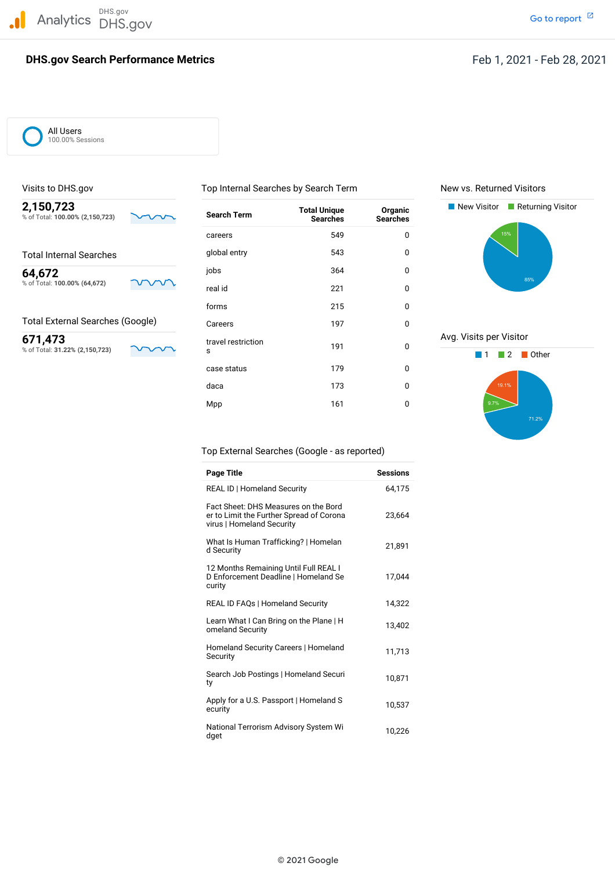DHS.gov Analytics DHS.gov and the contract of the contract of the contract of the contract of the contract of the contract of the contract of the contract of the contract of the contract of the contract of the contract of the cont

# **DHS.gov Search Performance Metrics Feb 1, 2021** - Feb 28, 2021

All Users 100.00% Sessions

| 2,150,723<br>% of Total: 100.00% (2,150,723) | <b>Search Term</b>      | <b>Total Unique</b><br><b>Searches</b> | Organic<br><b>Searches</b> | New Visitor<br>Returning Visitor |
|----------------------------------------------|-------------------------|----------------------------------------|----------------------------|----------------------------------|
|                                              | careers                 | 549                                    | 0                          | 15%                              |
| <b>Total Internal Searches</b>               | global entry            | 543                                    | 0                          |                                  |
| 64,672                                       | jobs                    | 364                                    | 0                          |                                  |
| % of Total: 100.00% (64,672)                 | real id                 | 221                                    | 0                          | 85%                              |
|                                              | forms                   | 215                                    | 0                          |                                  |
| <b>Total External Searches (Google)</b>      | Careers                 | 197                                    | 0                          |                                  |
| 671,473<br>% of Total: 31.22% (2,150,723)    | travel restriction<br>s | 191                                    | 0                          | Avg. Visits per Visitor<br>Other |
|                                              | case status             | 179                                    | 0                          |                                  |
|                                              | daca                    | 173                                    | $\mathbf 0$                | 19.1%                            |
|                                              | Mpp                     | 161                                    | 0                          | 9.7%                             |

Visits to DHS.gov Top Internal Searches by Search Term New vs. Returned Visitors





Top External Searches (Google - as reported)

| Page Title                                                                                                    | <b>Sessions</b> |
|---------------------------------------------------------------------------------------------------------------|-----------------|
| REAL ID   Homeland Security                                                                                   | 64.175          |
| Fact Sheet: DHS Measures on the Bord<br>er to Limit the Further Spread of Corona<br>virus   Homeland Security | 23,664          |
| What Is Human Trafficking?   Homelan<br>d Security                                                            | 21,891          |
| 12 Months Remaining Until Full REAL I<br>D Enforcement Deadline   Homeland Se<br>curity                       | 17,044          |
| <b>REAL ID FAQs   Homeland Security</b>                                                                       | 14.322          |
| Learn What I Can Bring on the Plane   H<br>omeland Security                                                   | 13.402          |
| Homeland Security Careers   Homeland<br>Security                                                              | 11,713          |
| Search Job Postings   Homeland Securi<br>ty                                                                   | 10,871          |
| Apply for a U.S. Passport   Homeland S<br>ecurity                                                             | 10,537          |
| National Terrorism Advisory System Wi<br>dget                                                                 | 10,226          |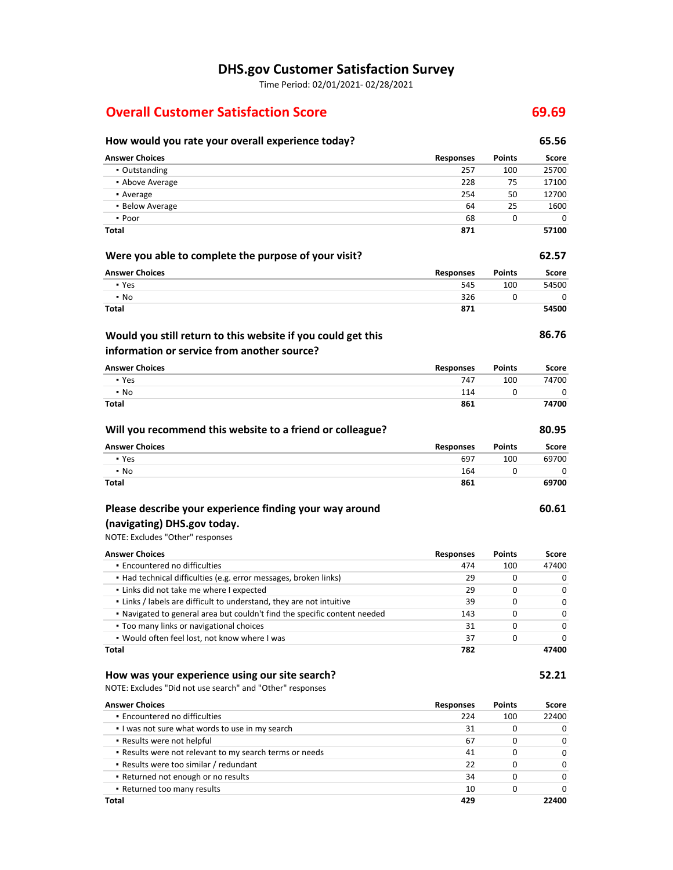# **DHS.gov Customer Satisfaction Survey**

Time Period: 02/01/2021‐ 02/28/2021

# **Overall Customer Satisfaction Score 69.69**

## **How would you rate your overall experience today? 65.56 Were you able to complete the purpose of your visit? 62.57 Would you still return to this website if you could get this information or service from another source? Answer Choices Responses Points Score** ▪ Outstanding 257 100 25700 ▪ Above Average 228 75 17100 **•** Average 254 50 27700 **12700 • Below Average 64** 25 1600  $\bullet$  Poor 68 0 0 0 0  $\bullet$ **Total 871 57100 Answer Choices Responses** 545 326 **871 Points** 100 0 **Score** 54500 **54500 86.76 Answer Choices Responses** 747 **Points** 100 0 **Score** 74700

| Will you recommend this website to a friend or colleague? |                  |               | 80.95 |
|-----------------------------------------------------------|------------------|---------------|-------|
| <b>Answer Choices</b>                                     | <b>Responses</b> | <b>Points</b> | Score |
| • Yes                                                     | 697              | 100           | 69700 |
| $\cdot$ No                                                | 164              | 0             | 0     |
| <b>Total</b>                                              | 861              |               | 69700 |

# **Please describe your experience finding your way around**

## NOTE: Excludes "Other" responses  **(navigating) DHS.gov today.**

▪ Yes ▪ No **Total**

▪ Yes ▪ No **Total**

**Encountered no difficulties**  ▪ Had technical difficulties (e.g. error messages, broken links) **.** Links did not take me where I expected **.** Links / labels are difficult to understand, they are not intuitive ▪ Navigated to general area but couldn't find the specific content needed **Too many links or navigational choices**  ▪ Would often feel lost, not know where I was **Answer Choices Total Responses** 474 29 29 39 143 31 37 **782 Points** 100 0 0  $\Omega$ 0  $\Omega$ 0 **Score** 47400 0 0 0 0 0 0 **47400**

## **How was your experience using our site search?**

NOTE: Excludes "Did not use search" and "Other" responses

| <b>Answer Choices</b>                                   | <b>Responses</b> | <b>Points</b> | Score        |
|---------------------------------------------------------|------------------|---------------|--------------|
| • Encountered no difficulties                           | 224              | 100           | 22400        |
| I was not sure what words to use in my search           | 31               | 0             | O            |
| • Results were not helpful                              | 67               | 0             | <sup>0</sup> |
| . Results were not relevant to my search terms or needs | 41               | 0             | 0            |
| • Results were too similar / redundant                  | 22               | 0             | <sup>0</sup> |
| . Returned not enough or no results                     | 34               | 0             | U            |
| • Returned too many results                             | 10               |               | <sup>n</sup> |
| Total                                                   | 429              |               | 22400        |

 $\Omega$ 

 $\Omega$ **74700**

**60.61**

114 **861**

**52.21**